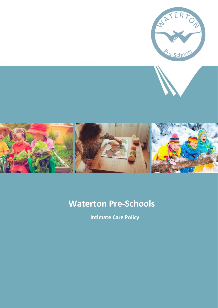

# **Waterton Pre-Schools**

**Intimate Care Policy**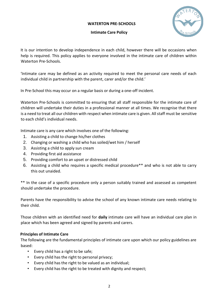## **WATERTON PRE-SCHOOLS**



#### **Intimate Care Policy**

It is our intention to develop independence in each child, however there will be occasions when help is required. This policy applies to everyone involved in the intimate care of children within Waterton Pre-Schools.

'Intimate care may be defined as an activity required to meet the personal care needs of each individual child in partnership with the parent, carer and/or the child.'

In Pre-School this may occur on a regular basis or during a one-off incident.

Waterton Pre-Schools is committed to ensuring that all staff responsible for the intimate care of children will undertake their duties in a professional manner at all times. We recognise that there is a need to treat all our children with respect when intimate care is given. All staff must be sensitive to each child's individual needs.

Intimate care is any care which involves one of the following:

- 1. Assisting a child to change his/her clothes
- 2. Changing or washing a child who has soiled/wet him / herself
- 3. Assisting a child to apply sun cream
- 4. Providing first aid assistance
- 5. Providing comfort to an upset or distressed child
- 6. Assisting a child who requires a specific medical procedure\*\* and who is not able to carry this out unaided.

\*\* In the case of a specific procedure only a person suitably trained and assessed as competent should undertake the procedure.

Parents have the responsibility to advise the school of any known intimate care needs relating to their child.

Those children with an identified need for **daily** intimate care will have an individual care plan in place which has been agreed and signed by parents and carers.

## **Principles of Intimate Care**

The following are the fundamental principles of intimate care upon which our policy guidelines are based:

- Every child has a right to be safe;
- Every child has the right to personal privacy;
- Every child has the right to be valued as an individual;
- Every child has the right to be treated with dignity and respect;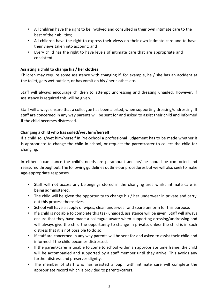- All children have the right to be involved and consulted in their own intimate care to the best of their abilities;
- All children have the right to express their views on their own intimate care and to have their views taken into account; and
- Every child has the right to have levels of intimate care that are appropriate and consistent.

## **Assisting a child to change his / her clothes**

Children may require some assistance with changing if, for example, he / she has an accident at the toilet, gets wet outside, or has vomit on his / her clothes etc.

Staff will always encourage children to attempt undressing and dressing unaided. However, if assistance is required this will be given.

Staff will always ensure that a colleague has been alerted, when supporting dressing/undressing. If staff are concerned in any way parents will be sent for and asked to assist their child and informed if the child becomes distressed.

#### **Changing a child who has soiled/wet him/herself**

If a child soils/wet him/herself in Pre-School a professional judgement has to be made whether it is appropriate to change the child in school, or request the parent/carer to collect the child for changing.

In either circumstance the child's needs are paramount and he/she should be comforted and reassured throughout. The following guidelines outline our procedures but we will also seek to make age-appropriate responses.

- Staff will not access any belongings stored in the changing area whilst intimate care is being administered.
- The child will be given the opportunity to change his / her underwear in private and carry out this process themselves.
- School will have a supply of wipes, clean underwear and spare uniform for this purpose.
- If a child is not able to complete this task unaided, assistance will be given. Staff will always ensure that they have made a colleague aware when supporting dressing/undressing and will always give the child the opportunity to change in private, unless the child is in such distress that it is not possible to do so.
- If staff are concerned in any way parents will be sent for and asked to assist their child and informed if the child becomes distressed.
- If the parent/carer is unable to come to school within an appropriate time frame, the child will be accompanied and supported by a staff member until they arrive. This avoids any further distress and preserves dignity.
- The member of staff who has assisted a pupil with intimate care will complete the appropriate record which is provided to parents/carers.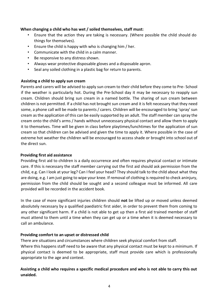#### **When changing a child who has wet / soiled themselves, staff must:**

- Ensure that the action they are taking is necessary. (Where possible the child should do things for themselves).
- Ensure the child is happy with who is changing him / her.
- Communicate with the child in a calm manner.
- Be responsive to any distress shown.
- Always wear protective disposable gloves and a disposable apron.
- Seal any soiled clothing in a plastic bag for return to parents.

## **Assisting a child to apply sun cream**

Parents and carers will be advised to apply sun cream to their child before they come to Pre- School if the weather is particularly hot. During the Pre-School day it may be necessary to reapply sun cream. Children should bring sun cream in a named bottle. The sharing of sun cream between children is not permitted. If a child has not brought sun cream and it is felt necessary that they need some, a phone call will be made to parents / carers. Children will be encouraged to bring 'spray' sun cream as the application of this can be easily supported by an adult. The staff member can spray the cream onto the child's arms / hands without unnecessary physical contact and allow them to apply it to themselves. Time will be given in class before playtimes/lunchtimes for the application of sun cream so that children can be advised and given the time to apply it. Where possible in the case of extreme hot weather the children will be encouraged to access shade or brought into school out of the direct sun.

## **Providing first aid assistance**

Providing first aid to children is a daily occurrence and often requires physical contact or intimate care. If this is necessary the staff member carrying out the first aid should ask permission from the child, e.g. Can I look at your leg? Can I feel your head? They should talk to the child about what they are doing, e.g. I am just going to wipe your knee. If removal of clothing is required to check aninjury, permission from the child should be sought and a second colleague must be informed. All care provided will be recorded in the accident book.

In the case of more significant injuries children should **not** be lifted up or moved unless deemed absolutely necessary by a qualified paediatric first aider, in order to prevent them from coming to any other significant harm. If a child is not able to get up then a first aid trained member of staff must attend to them until a time when they can get up or a time when it is deemed necessary to call an ambulance.

## **Providing comfort to an upset or distressed child**

There are situations and circumstances where children seek physical comfort from staff. Where this happens staff need to be aware that any physical contact must be kept to a minimum. If physical contact is deemed to be appropriate, staff must provide care which is professionally appropriate to the age and context.

## **Assisting a child who requires a specific medical procedure and who is not able to carry this out unaided.**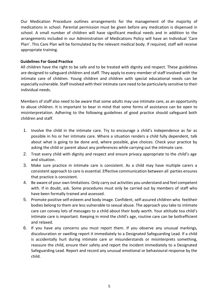Our Medication Procedure outlines arrangements for the management of the majority of medications in school. Parental permission must be given before any medication is dispensed in school. A small number of children will have significant medical needs and in addition to the arrangements included in our Administration of Medications Policy will have an Individual 'Care Plan'. This Care Plan will be formulated by the relevant medical body. If required, staff will receive appropriate training.

## **Guidelines For Good Practice**

All children have the right to be safe and to be treated with dignity and respect. These guidelines are designed to safeguard children and staff. They apply to every member of staff involved with the intimate care of children. Young children and children with special educational needs can be especially vulnerable. Staff involved with their intimate care need to be particularly sensitive to their individual needs.

Members of staff also need to be aware that some adults may use intimate care, as an opportunity to abuse children. It is important to bear in mind that some forms of assistance can be open to misinterpretation. Adhering to the following guidelines of good practice should safeguard both children and staff.

- 1. Involve the child in the intimate care. Try to encourage a child's independence as far as possible in his or her intimate care. Where a situation renders a child fully dependent, talk about what is going to be done and, where possible, give choices. Check your practice by asking the child or parent about any preferences while carrying out the intimate care.
- 2. Treat every child with dignity and respect and ensure privacy appropriate to the child's age and situation.
- 3. Make sure practice in intimate care is consistent. As a child may have multiple carers a consistent approach to care is essential. Effective communication between all parties ensures that practice is consistent.
- 4. Be aware of your own limitations. Only carry out activities you understand and feel competent with. If in doubt, ask. Some procedures must only be carried out by members of staff who have been formally trained and assessed.
- 5. Promote positive self-esteem and body image. Confident, self-assured children who feeltheir bodies belong to them are less vulnerable to sexual abuse. The approach you take to intimate care can convey lots of messages to a child about their body worth. Your attitude toa child's intimate care is important. Keeping in mind the child's age, routine care can be bothefficient and relaxed.
- 6. If you have any concerns you must report them. If you observe any unusual markings, discolouration or swelling report it immediately to a Designated Safeguarding Lead. If a child is accidentally hurt during intimate care or misunderstands or misinterprets something, reassure the child, ensure their safety and report the incident immediately to a Designated Safeguarding Lead. Report and record any unusual emotional or behavioural response by the child.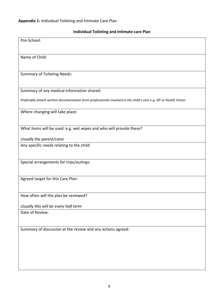## **Individual Toileting and Intimate care Plan**

| Pre-School:                                                                                                       |
|-------------------------------------------------------------------------------------------------------------------|
| Name of Child:                                                                                                    |
| <b>Summary of Toileting Needs:</b>                                                                                |
| Summary of any medical information shared:                                                                        |
| Preferably attach written documentation from professionals involved in the child's care e.g. GP or Health Visitor |
| Where changing will take place:                                                                                   |
| What items will be used: e.g. wet wipes and who will provide these?                                               |
| Usually the parent/carer                                                                                          |
| Any specific needs relating to the child:                                                                         |
| Special arrangements for trips/outings:                                                                           |
| Agreed target for this Care Plan:                                                                                 |
| How often will the plan be reviewed?                                                                              |
| Usually this will be every half term                                                                              |
| Date of Review:                                                                                                   |
| Summary of discussion at the review and any actions agreed:                                                       |
|                                                                                                                   |
|                                                                                                                   |
|                                                                                                                   |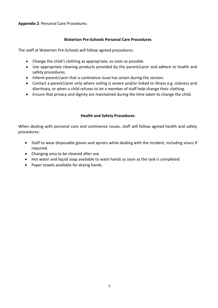## **Waterton Pre-Schools Personal Care Procedures**

The staff at Waterton Pre-Schools will follow agreed procedures:

- Change the child's clothing as appropriate, as soon as possible.
- Use appropriate cleaning products provided by the parent/carer and adhere to health and safety procedures.
- Inform parent/carer that a continence issue has arisen during the session.
- Contact a parent/carer only where soiling is severe and/or linked to illness e.g. sickness and diarrhoea, or when a child refuses to let a member of staff help change their clothing.
- Ensure that privacy and dignity are maintained during the time taken to change the child.

## **Health and Safety Procedures**

When dealing with personal care and continence issues, staff will follow agreed health and safety procedures:

- Staff to wear disposable gloves and aprons while dealing with the incident, including visors if required.
- Changing area to be cleaned after use.
- Hot water and liquid soap available to wash hands as soon as the task is completed.
- Paper towels available for drying hands.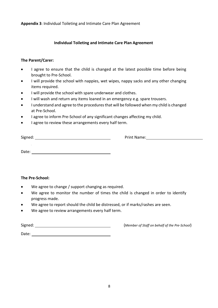**Appendix 3**: Individual Toileting and Intimate Care Plan Agreement

## **Individual Toileting and Intimate Care Plan Agreement**

#### **The Parent/Carer:**

- I agree to ensure that the child is changed at the latest possible time before being brought to Pre-School.
- I will provide the school with nappies, wet wipes, nappy sacks and any other changing items required.
- I will provide the school with spare underwear and clothes.
- I will wash and return any items loaned in an emergency e.g. spare trousers.
- I understand and agree to the procedures that will be followed when my child is changed at Pre-School.
- I agree to inform Pre-School of any significant changes affecting my child.
- I agree to review these arrangements every half term.

Signed: Print Name:

Date:

#### **The Pre-School:**

- We agree to change / support changing as required.
- We agree to monitor the number of times the child is changed in order to identify progress made.
- We agree to report should the child be distressed, or if marks/rashes are seen.
- We agree to review arrangements every half term.

Signed: (*Member of Staff on behalf of the Pre-School*)

Date: